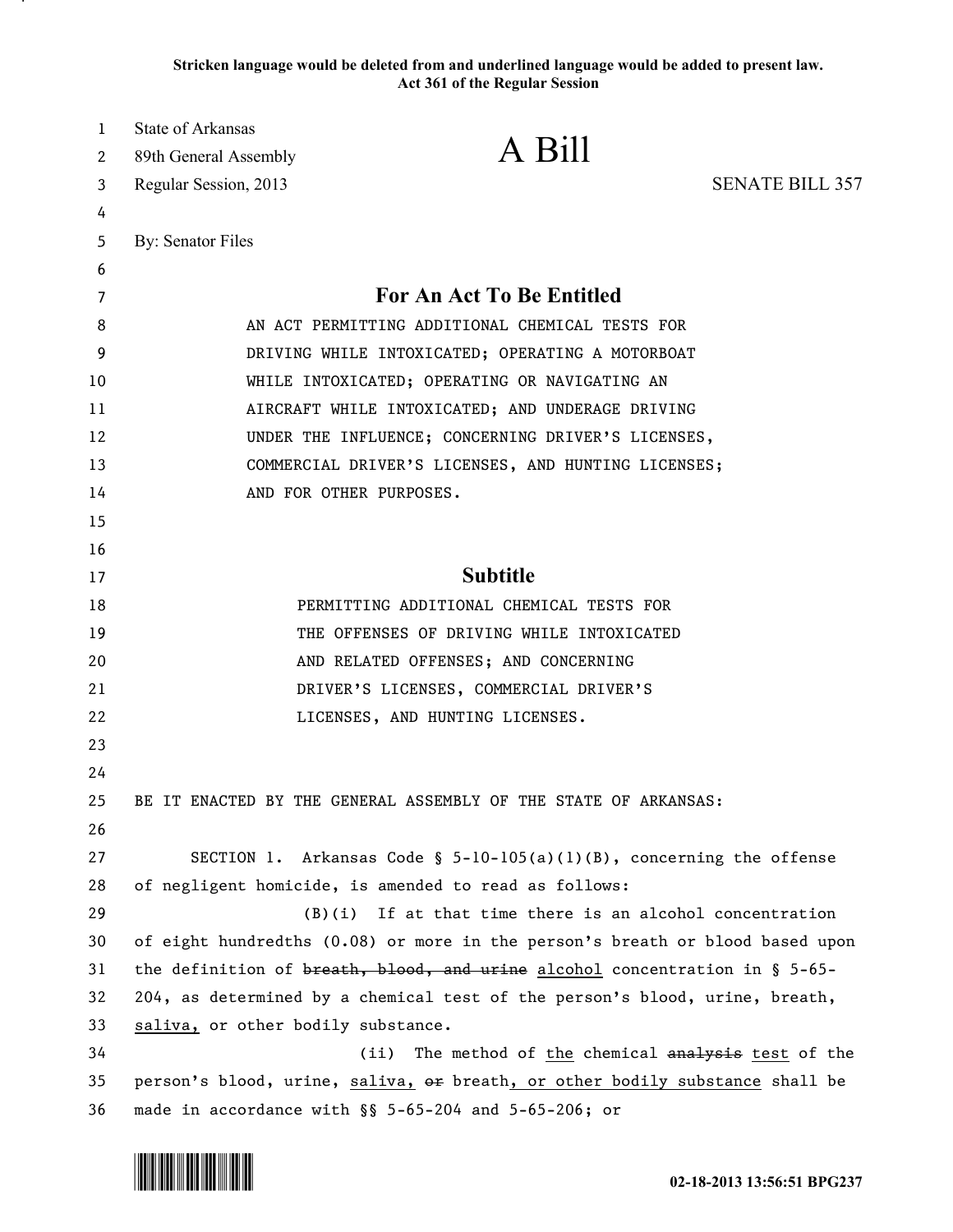**Stricken language would be deleted from and underlined language would be added to present law. Act 361 of the Regular Session**

| 1  | <b>State of Arkansas</b>                                                       | A Bill                                                                  |                        |
|----|--------------------------------------------------------------------------------|-------------------------------------------------------------------------|------------------------|
| 2  | 89th General Assembly                                                          |                                                                         |                        |
| 3  | Regular Session, 2013                                                          |                                                                         | <b>SENATE BILL 357</b> |
| 4  |                                                                                |                                                                         |                        |
| 5  | By: Senator Files                                                              |                                                                         |                        |
| 6  |                                                                                |                                                                         |                        |
| 7  | For An Act To Be Entitled                                                      |                                                                         |                        |
| 8  | AN ACT PERMITTING ADDITIONAL CHEMICAL TESTS FOR                                |                                                                         |                        |
| 9  | DRIVING WHILE INTOXICATED; OPERATING A MOTORBOAT                               |                                                                         |                        |
| 10 | WHILE INTOXICATED; OPERATING OR NAVIGATING AN                                  |                                                                         |                        |
| 11 | AIRCRAFT WHILE INTOXICATED; AND UNDERAGE DRIVING                               |                                                                         |                        |
| 12 | UNDER THE INFLUENCE; CONCERNING DRIVER'S LICENSES,                             |                                                                         |                        |
| 13 | COMMERCIAL DRIVER'S LICENSES, AND HUNTING LICENSES;                            |                                                                         |                        |
| 14 |                                                                                | AND FOR OTHER PURPOSES.                                                 |                        |
| 15 |                                                                                |                                                                         |                        |
| 16 |                                                                                |                                                                         |                        |
| 17 | <b>Subtitle</b>                                                                |                                                                         |                        |
| 18 | PERMITTING ADDITIONAL CHEMICAL TESTS FOR                                       |                                                                         |                        |
| 19 |                                                                                | THE OFFENSES OF DRIVING WHILE INTOXICATED                               |                        |
| 20 | AND RELATED OFFENSES; AND CONCERNING                                           |                                                                         |                        |
| 21 | DRIVER'S LICENSES, COMMERCIAL DRIVER'S                                         |                                                                         |                        |
| 22 |                                                                                | LICENSES, AND HUNTING LICENSES.                                         |                        |
| 23 |                                                                                |                                                                         |                        |
| 24 |                                                                                |                                                                         |                        |
| 25 |                                                                                | BE IT ENACTED BY THE GENERAL ASSEMBLY OF THE STATE OF ARKANSAS:         |                        |
| 26 |                                                                                |                                                                         |                        |
| 27 |                                                                                | SECTION 1. Arkansas Code § $5-10-105(a)(1)(B)$ , concerning the offense |                        |
| 28 | of negligent homicide, is amended to read as follows:                          |                                                                         |                        |
| 29 | $(B)(i)$ If at that time there is an alcohol concentration                     |                                                                         |                        |
| 30 | of eight hundredths (0.08) or more in the person's breath or blood based upon  |                                                                         |                        |
| 31 | the definition of breath, blood, and urine alcohol concentration in $\S$ 5-65- |                                                                         |                        |
| 32 | 204, as determined by a chemical test of the person's blood, urine, breath,    |                                                                         |                        |
| 33 | saliva, or other bodily substance.                                             |                                                                         |                        |
| 34 | The method of the chemical analysis test of the<br>(ii)                        |                                                                         |                        |
| 35 | person's blood, urine, saliva, or breath, or other bodily substance shall be   |                                                                         |                        |
| 36 | made in accordance with §§ 5-65-204 and 5-65-206; or                           |                                                                         |                        |

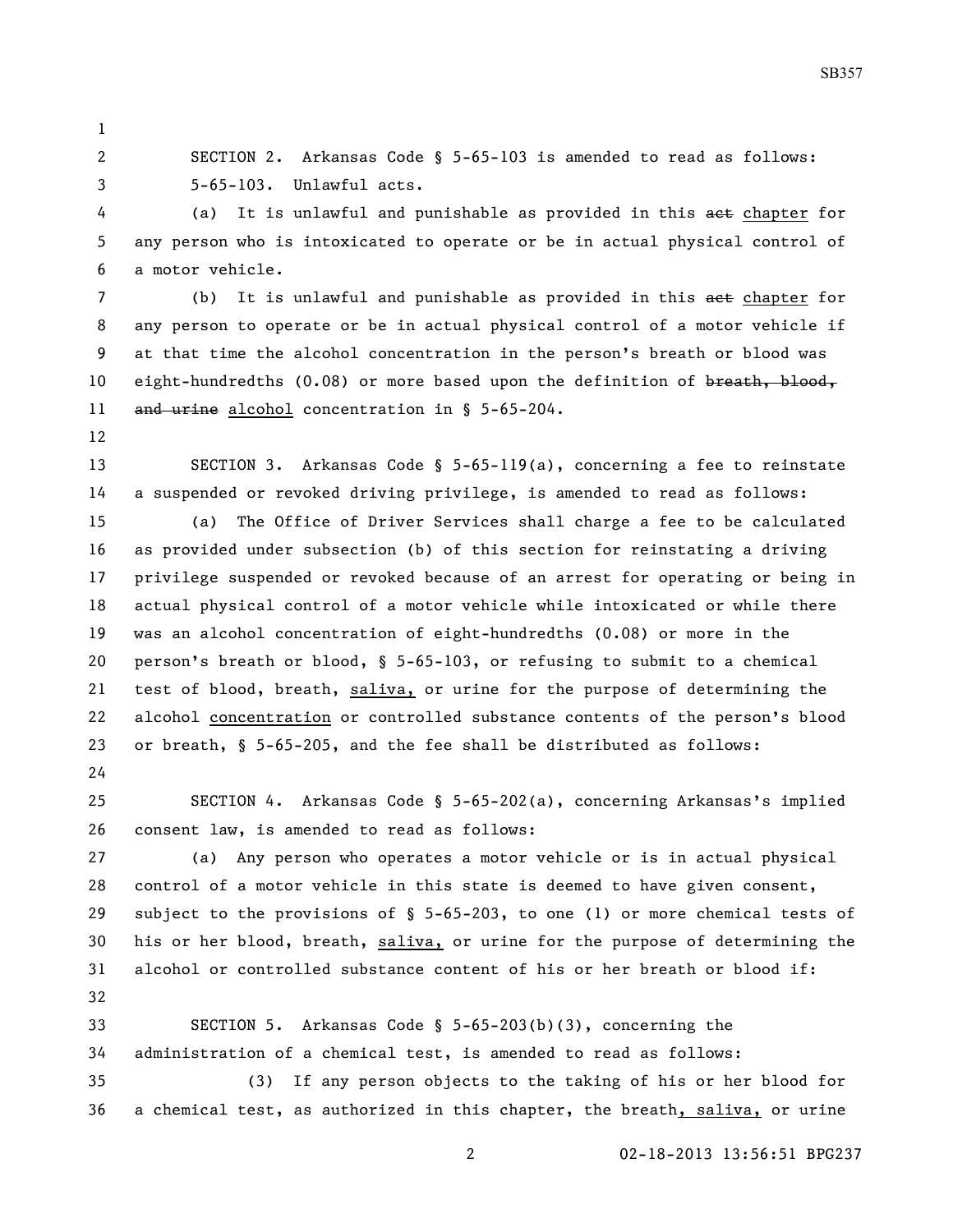SECTION 2. Arkansas Code § 5-65-103 is amended to read as follows: 5-65-103. Unlawful acts.

4 (a) It is unlawful and punishable as provided in this aet chapter for any person who is intoxicated to operate or be in actual physical control of a motor vehicle.

7 (b) It is unlawful and punishable as provided in this aet chapter for any person to operate or be in actual physical control of a motor vehicle if at that time the alcohol concentration in the person's breath or blood was 10 eight-hundredths (0.08) or more based upon the definition of breath, blood, 11 and urine alcohol concentration in § 5-65-204.

 SECTION 3. Arkansas Code § 5-65-119(a), concerning a fee to reinstate a suspended or revoked driving privilege, is amended to read as follows:

 (a) The Office of Driver Services shall charge a fee to be calculated as provided under subsection (b) of this section for reinstating a driving privilege suspended or revoked because of an arrest for operating or being in actual physical control of a motor vehicle while intoxicated or while there was an alcohol concentration of eight-hundredths (0.08) or more in the person's breath or blood, § 5-65-103, or refusing to submit to a chemical test of blood, breath, saliva, or urine for the purpose of determining the alcohol concentration or controlled substance contents of the person's blood or breath, § 5-65-205, and the fee shall be distributed as follows:

 SECTION 4. Arkansas Code § 5-65-202(a), concerning Arkansas's implied consent law, is amended to read as follows:

 (a) Any person who operates a motor vehicle or is in actual physical control of a motor vehicle in this state is deemed to have given consent, subject to the provisions of § 5-65-203, to one (1) or more chemical tests of 30 his or her blood, breath, saliva, or urine for the purpose of determining the alcohol or controlled substance content of his or her breath or blood if: 

 SECTION 5. Arkansas Code § 5-65-203(b)(3), concerning the administration of a chemical test, is amended to read as follows:

 (3) If any person objects to the taking of his or her blood for a chemical test, as authorized in this chapter, the breath, saliva, or urine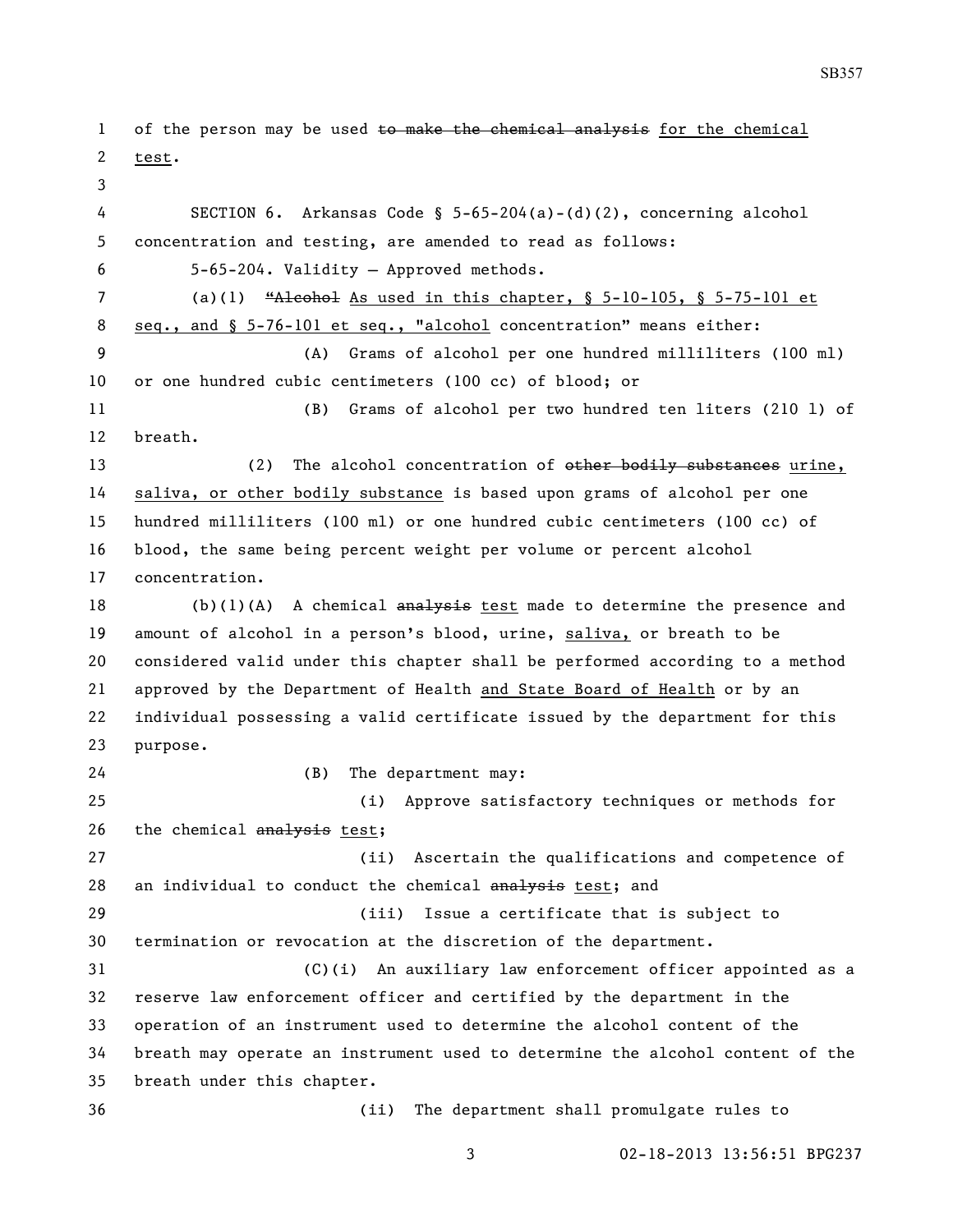1 of the person may be used to make the chemical analysis for the chemical test. SECTION 6. Arkansas Code § 5-65-204(a)-(d)(2), concerning alcohol concentration and testing, are amended to read as follows: 5-65-204. Validity — Approved methods. (a)(1) "Alcohol As used in this chapter, § 5-10-105, § 5-75-101 et seq., and § 5-76-101 et seq., "alcohol concentration" means either: (A) Grams of alcohol per one hundred milliliters (100 ml) or one hundred cubic centimeters (100 cc) of blood; or (B) Grams of alcohol per two hundred ten liters (210 l) of breath. 13 (2) The alcohol concentration of other bodily substances urine, saliva, or other bodily substance is based upon grams of alcohol per one hundred milliliters (100 ml) or one hundred cubic centimeters (100 cc) of blood, the same being percent weight per volume or percent alcohol concentration. 18 (b)(1)(A) A chemical  $\frac{1}{2}$  and  $\frac{1}{2}$  test made to determine the presence and amount of alcohol in a person's blood, urine, saliva, or breath to be considered valid under this chapter shall be performed according to a method approved by the Department of Health and State Board of Health or by an individual possessing a valid certificate issued by the department for this purpose. (B) The department may: (i) Approve satisfactory techniques or methods for 26 the chemical analysis test; (ii) Ascertain the qualifications and competence of 28 an individual to conduct the chemical analysis test; and (iii) Issue a certificate that is subject to termination or revocation at the discretion of the department. (C)(i) An auxiliary law enforcement officer appointed as a reserve law enforcement officer and certified by the department in the operation of an instrument used to determine the alcohol content of the breath may operate an instrument used to determine the alcohol content of the breath under this chapter. (ii) The department shall promulgate rules to

02-18-2013 13:56:51 BPG237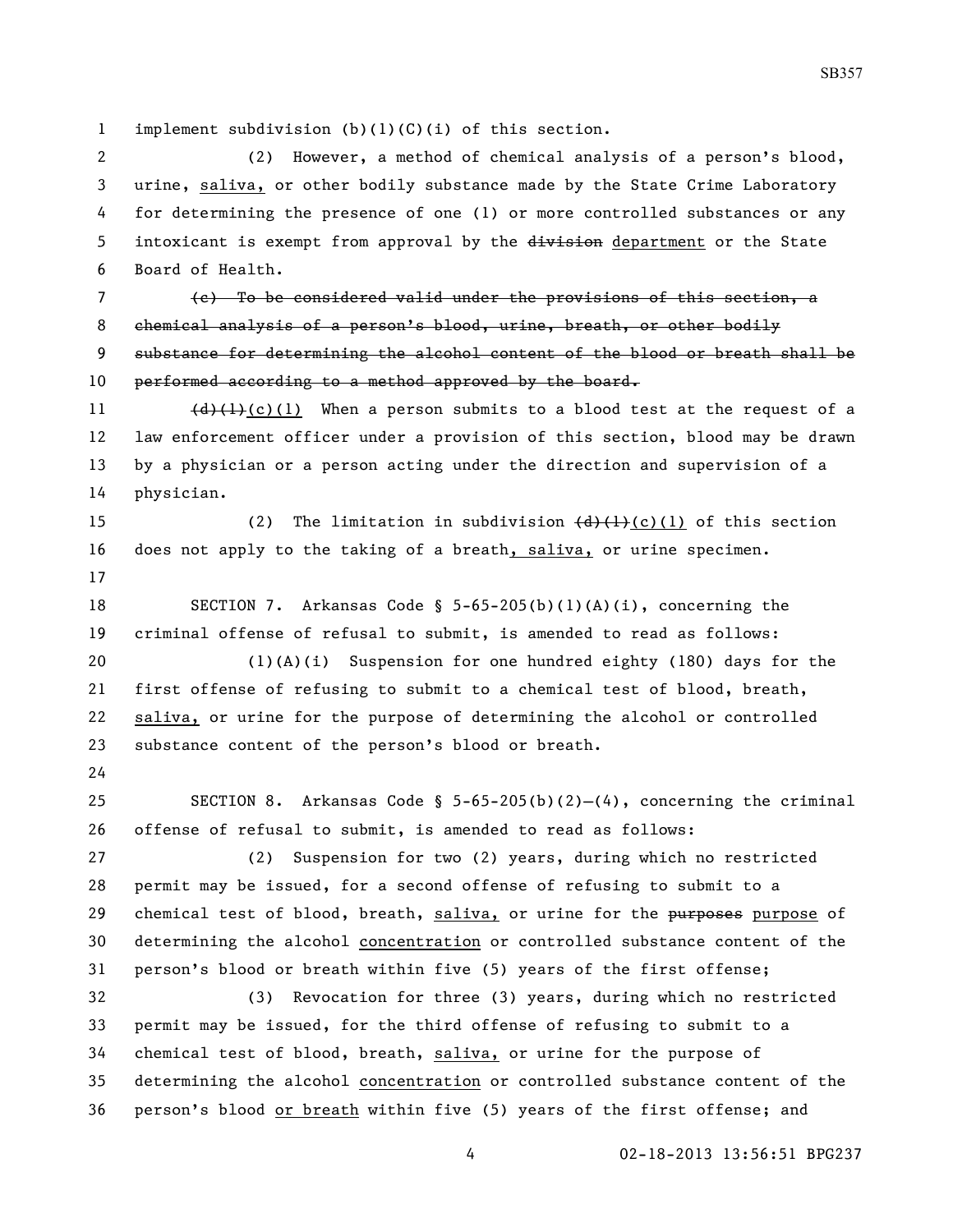implement subdivision (b)(1)(C)(i) of this section.

 (2) However, a method of chemical analysis of a person's blood, urine, saliva, or other bodily substance made by the State Crime Laboratory for determining the presence of one (1) or more controlled substances or any 5 intoxicant is exempt from approval by the division department or the State Board of Health.

 (c) To be considered valid under the provisions of this section, a 8 chemical analysis of a person's blood, urine, breath, or other bodily substance for determining the alcohol content of the blood or breath shall be 10 performed according to a method approved by the board.

 $(d)$   $(l)$  (c)(1) When a person submits to a blood test at the request of a law enforcement officer under a provision of this section, blood may be drawn by a physician or a person acting under the direction and supervision of a physician.

15 (2) The limitation in subdivision  $\left(\frac{d}{d}\right)\left(\frac{1}{d}\right)$  (c)(1) of this section does not apply to the taking of a breath, saliva, or urine specimen. 

 SECTION 7. Arkansas Code § 5-65-205(b)(1)(A)(i), concerning the criminal offense of refusal to submit, is amended to read as follows:

 (1)(A)(i) Suspension for one hundred eighty (180) days for the first offense of refusing to submit to a chemical test of blood, breath, saliva, or urine for the purpose of determining the alcohol or controlled substance content of the person's blood or breath.

 SECTION 8. Arkansas Code § 5-65-205(b)(2)—(4), concerning the criminal offense of refusal to submit, is amended to read as follows:

 (2) Suspension for two (2) years, during which no restricted permit may be issued, for a second offense of refusing to submit to a 29 chemical test of blood, breath, saliva, or urine for the purposes purpose of determining the alcohol concentration or controlled substance content of the person's blood or breath within five (5) years of the first offense;

 (3) Revocation for three (3) years, during which no restricted permit may be issued, for the third offense of refusing to submit to a chemical test of blood, breath, saliva, or urine for the purpose of determining the alcohol concentration or controlled substance content of the person's blood or breath within five (5) years of the first offense; and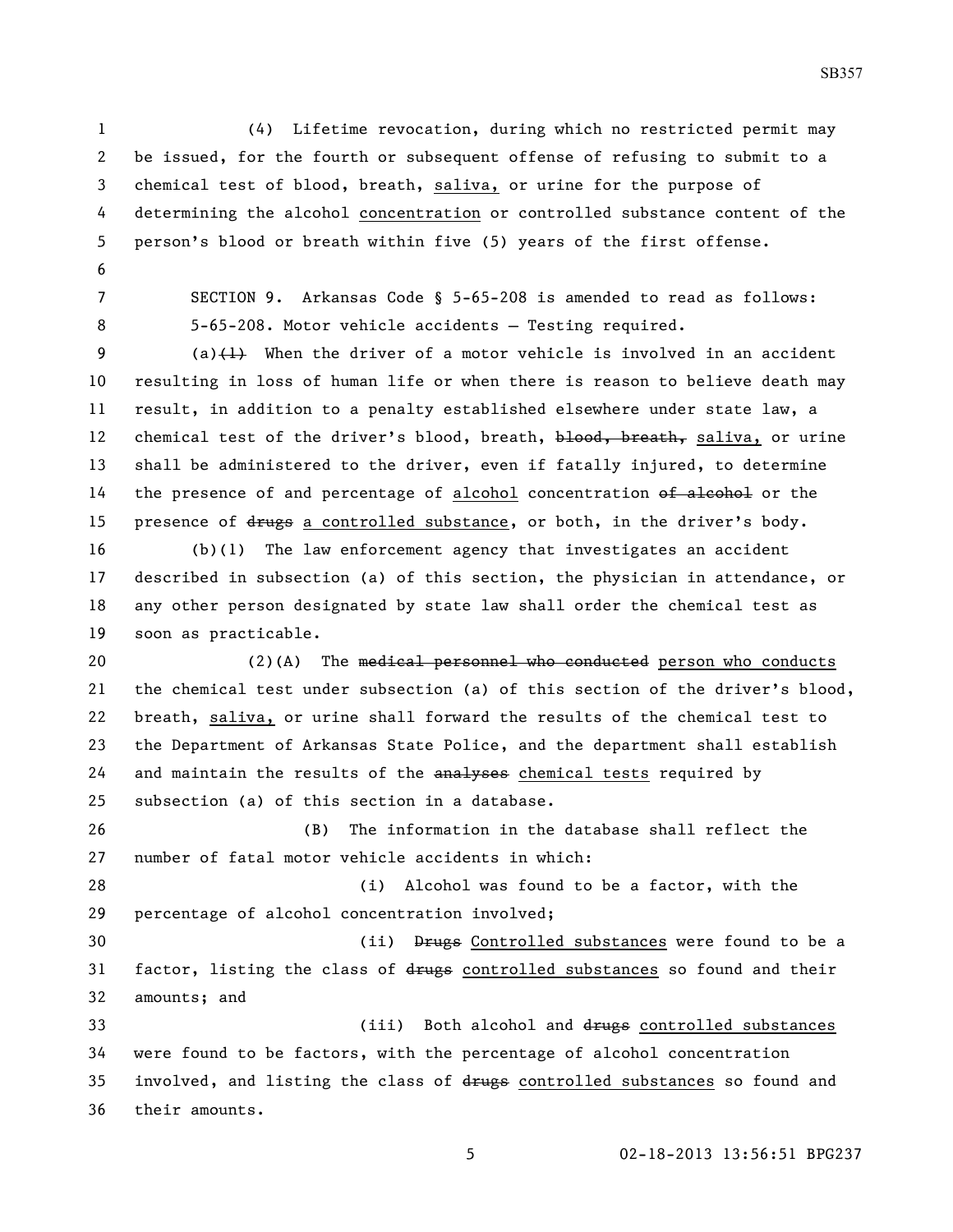(4) Lifetime revocation, during which no restricted permit may be issued, for the fourth or subsequent offense of refusing to submit to a chemical test of blood, breath, saliva, or urine for the purpose of determining the alcohol concentration or controlled substance content of the person's blood or breath within five (5) years of the first offense. 

- 
- 

 SECTION 9. Arkansas Code § 5-65-208 is amended to read as follows: 5-65-208. Motor vehicle accidents — Testing required.

9 (a) $(1)$  When the driver of a motor vehicle is involved in an accident resulting in loss of human life or when there is reason to believe death may result, in addition to a penalty established elsewhere under state law, a 12 chemical test of the driver's blood, breath, blood, breath, saliva, or urine shall be administered to the driver, even if fatally injured, to determine 14 the presence of and percentage of alcohol concentration of alcohol or the 15 presence of drugs a controlled substance, or both, in the driver's body.

 (b)(1) The law enforcement agency that investigates an accident described in subsection (a) of this section, the physician in attendance, or any other person designated by state law shall order the chemical test as soon as practicable.

20 (2)(A) The medical personnel who conducted person who conducts the chemical test under subsection (a) of this section of the driver's blood, breath, saliva, or urine shall forward the results of the chemical test to the Department of Arkansas State Police, and the department shall establish 24 and maintain the results of the analyses chemical tests required by subsection (a) of this section in a database.

 (B) The information in the database shall reflect the number of fatal motor vehicle accidents in which:

 (i) Alcohol was found to be a factor, with the percentage of alcohol concentration involved;

 (ii) Drugs Controlled substances were found to be a 31 factor, listing the class of drugs controlled substances so found and their amounts; and

33 (iii) Both alcohol and drugs controlled substances were found to be factors, with the percentage of alcohol concentration 35 involved, and listing the class of drugs controlled substances so found and their amounts.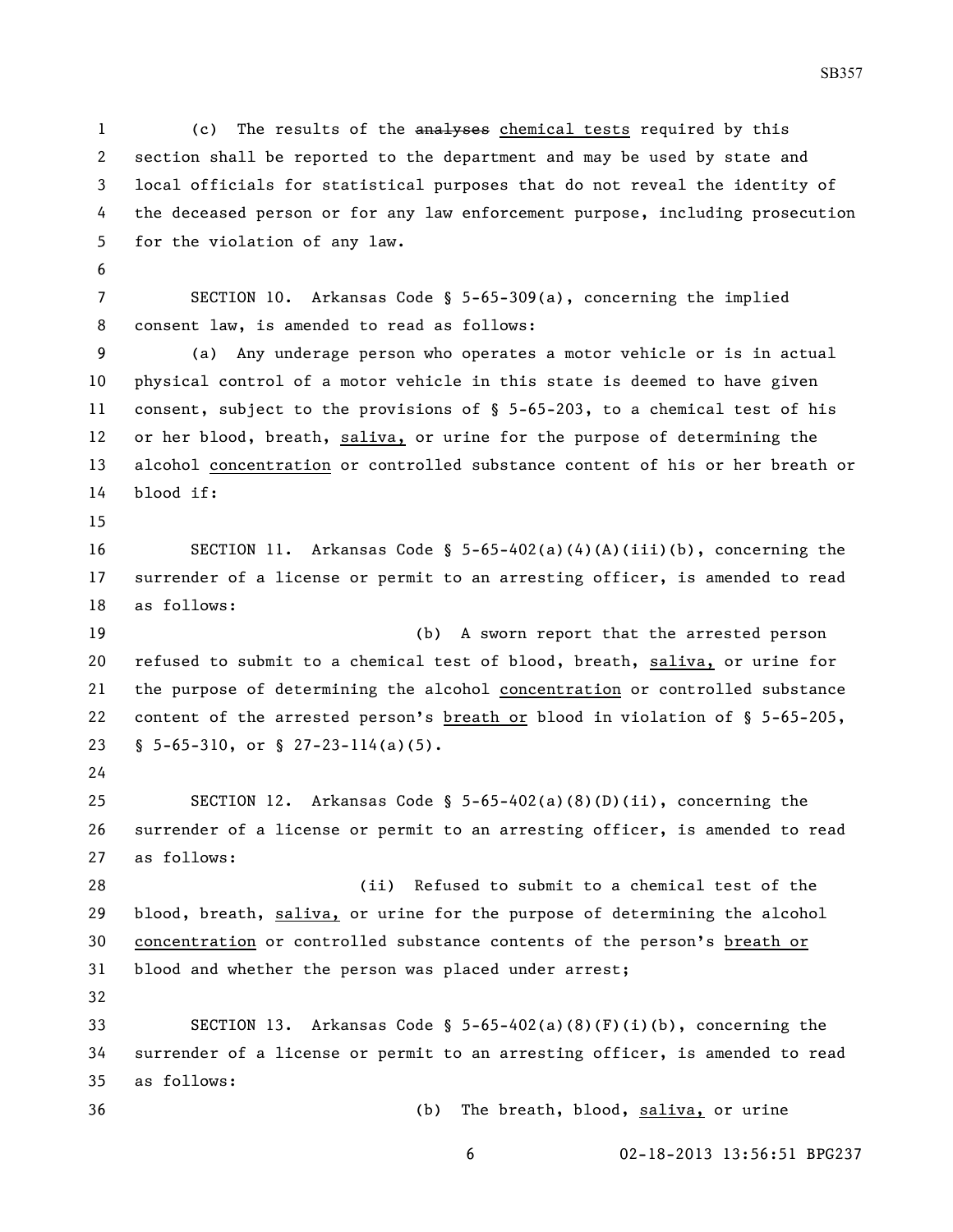(c) The results of the analyses chemical tests required by this section shall be reported to the department and may be used by state and local officials for statistical purposes that do not reveal the identity of the deceased person or for any law enforcement purpose, including prosecution for the violation of any law.

 SECTION 10. Arkansas Code § 5-65-309(a), concerning the implied consent law, is amended to read as follows:

 (a) Any underage person who operates a motor vehicle or is in actual physical control of a motor vehicle in this state is deemed to have given consent, subject to the provisions of § 5-65-203, to a chemical test of his or her blood, breath, saliva, or urine for the purpose of determining the alcohol concentration or controlled substance content of his or her breath or blood if:

 SECTION 11. Arkansas Code § 5-65-402(a)(4)(A)(iii)(b), concerning the surrender of a license or permit to an arresting officer, is amended to read as follows:

 (b) A sworn report that the arrested person refused to submit to a chemical test of blood, breath, saliva, or urine for the purpose of determining the alcohol concentration or controlled substance content of the arrested person's breath or blood in violation of § 5-65-205, § 5-65-310, or § 27-23-114(a)(5).

 SECTION 12. Arkansas Code § 5-65-402(a)(8)(D)(ii), concerning the surrender of a license or permit to an arresting officer, is amended to read as follows:

 (ii) Refused to submit to a chemical test of the blood, breath, saliva, or urine for the purpose of determining the alcohol concentration or controlled substance contents of the person's breath or blood and whether the person was placed under arrest; 

 SECTION 13. Arkansas Code § 5-65-402(a)(8)(F)(i)(b), concerning the surrender of a license or permit to an arresting officer, is amended to read as follows:

(b) The breath, blood, saliva, or urine

02-18-2013 13:56:51 BPG237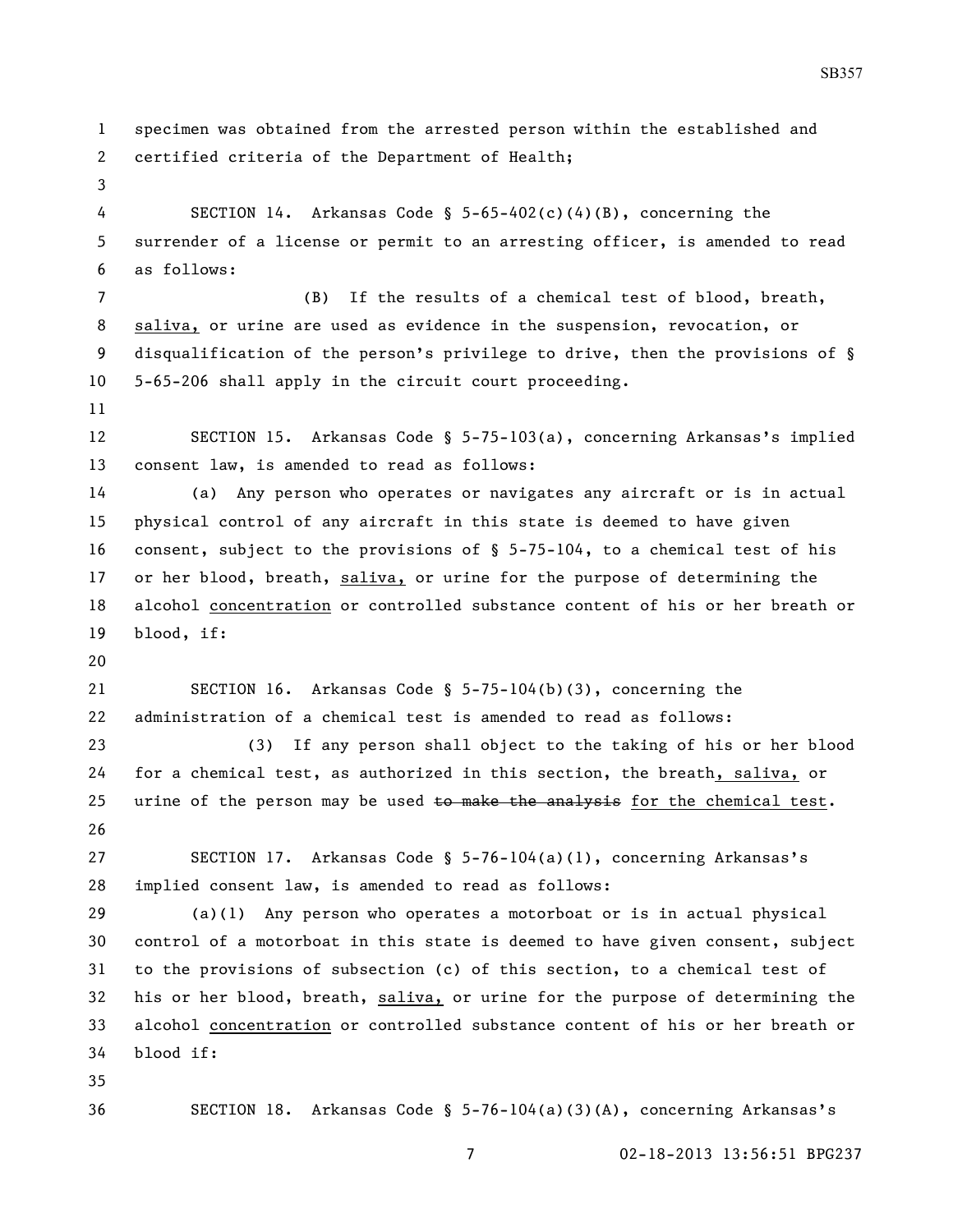```
1 specimen was obtained from the arrested person within the established and 
2 certified criteria of the Department of Health;
3
 4 SECTION 14. Arkansas Code § 5-65-402(c)(4)(B), concerning the 
5 surrender of a license or permit to an arresting officer, is amended to read 
6 as follows:
 7 (B) If the results of a chemical test of blood, breath, 
8 saliva, or urine are used as evidence in the suspension, revocation, or 
9 disqualification of the person's privilege to drive, then the provisions of § 
10 5-65-206 shall apply in the circuit court proceeding.
11
12 SECTION 15. Arkansas Code § 5-75-103(a), concerning Arkansas's implied 
13 consent law, is amended to read as follows:
14 (a) Any person who operates or navigates any aircraft or is in actual 
15 physical control of any aircraft in this state is deemed to have given 
16 consent, subject to the provisions of § 5-75-104, to a chemical test of his 
17 or her blood, breath, saliva, or urine for the purpose of determining the 
18 alcohol concentration or controlled substance content of his or her breath or 
19 blood, if:
20
21 SECTION 16. Arkansas Code § 5-75-104(b)(3), concerning the 
22 administration of a chemical test is amended to read as follows:
23 (3) If any person shall object to the taking of his or her blood 
24 for a chemical test, as authorized in this section, the breath, saliva, or 
25 urine of the person may be used t_0 make the analysis for the chemical test.
26
27 SECTION 17. Arkansas Code § 5-76-104(a)(1), concerning Arkansas's 
28 implied consent law, is amended to read as follows:
29 (a)(1) Any person who operates a motorboat or is in actual physical 
30 control of a motorboat in this state is deemed to have given consent, subject 
31 to the provisions of subsection (c) of this section, to a chemical test of 
32 his or her blood, breath, saliva, or urine for the purpose of determining the 
33 alcohol concentration or controlled substance content of his or her breath or 
34 blood if:
35
36 SECTION 18. Arkansas Code § 5-76-104(a)(3)(A), concerning Arkansas's
```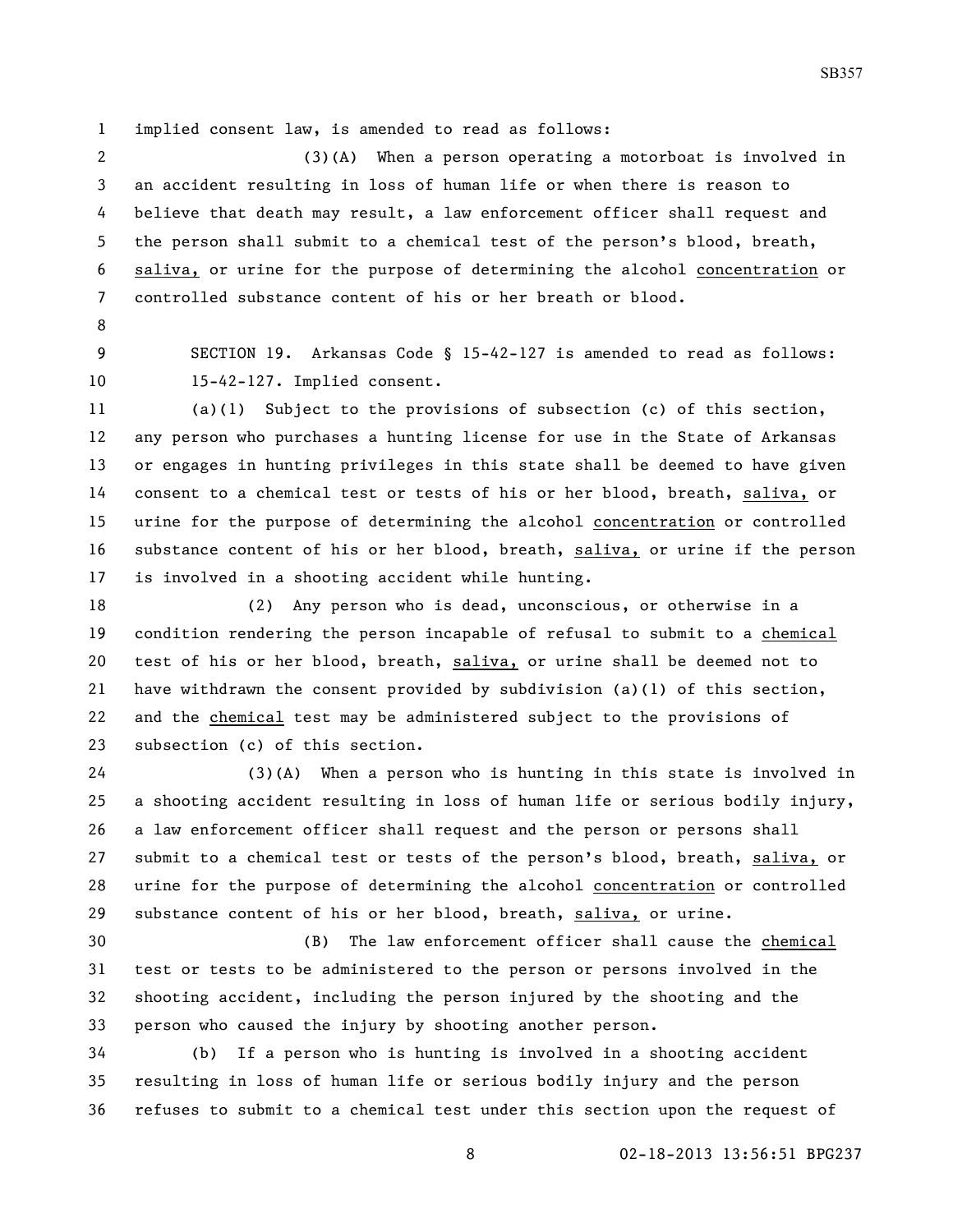implied consent law, is amended to read as follows:

 (3)(A) When a person operating a motorboat is involved in an accident resulting in loss of human life or when there is reason to believe that death may result, a law enforcement officer shall request and the person shall submit to a chemical test of the person's blood, breath, saliva, or urine for the purpose of determining the alcohol concentration or controlled substance content of his or her breath or blood.

- 
- 

 SECTION 19. Arkansas Code § 15-42-127 is amended to read as follows: 15-42-127. Implied consent.

 (a)(1) Subject to the provisions of subsection (c) of this section, any person who purchases a hunting license for use in the State of Arkansas or engages in hunting privileges in this state shall be deemed to have given consent to a chemical test or tests of his or her blood, breath, saliva, or urine for the purpose of determining the alcohol concentration or controlled substance content of his or her blood, breath, saliva, or urine if the person is involved in a shooting accident while hunting.

 (2) Any person who is dead, unconscious, or otherwise in a condition rendering the person incapable of refusal to submit to a chemical test of his or her blood, breath, saliva, or urine shall be deemed not to have withdrawn the consent provided by subdivision (a)(1) of this section, and the chemical test may be administered subject to the provisions of subsection (c) of this section.

 (3)(A) When a person who is hunting in this state is involved in a shooting accident resulting in loss of human life or serious bodily injury, a law enforcement officer shall request and the person or persons shall submit to a chemical test or tests of the person's blood, breath, saliva, or urine for the purpose of determining the alcohol concentration or controlled substance content of his or her blood, breath, saliva, or urine.

 (B) The law enforcement officer shall cause the chemical test or tests to be administered to the person or persons involved in the shooting accident, including the person injured by the shooting and the person who caused the injury by shooting another person.

 (b) If a person who is hunting is involved in a shooting accident resulting in loss of human life or serious bodily injury and the person refuses to submit to a chemical test under this section upon the request of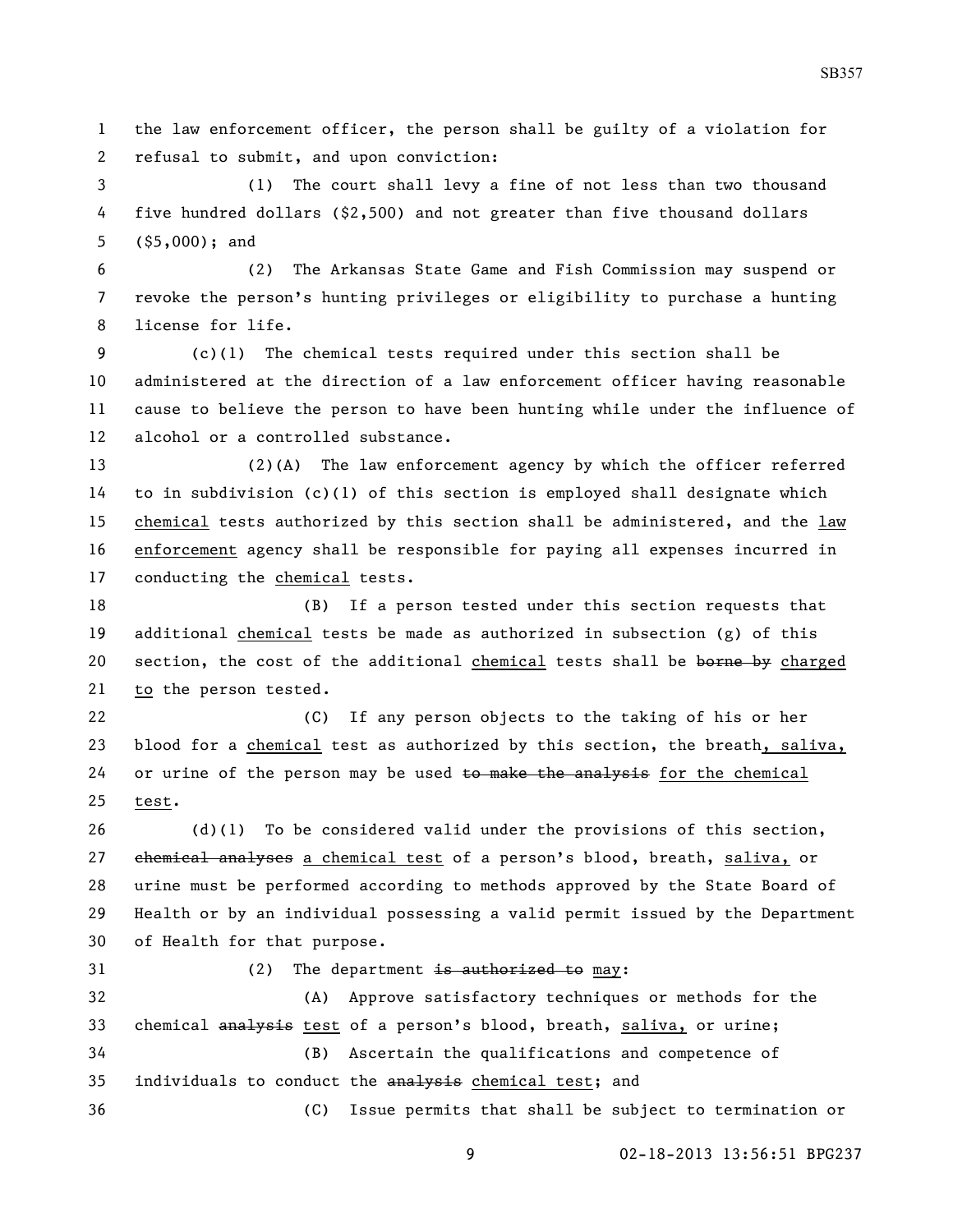the law enforcement officer, the person shall be guilty of a violation for refusal to submit, and upon conviction:

 (1) The court shall levy a fine of not less than two thousand five hundred dollars (\$2,500) and not greater than five thousand dollars (\$5,000); and

 (2) The Arkansas State Game and Fish Commission may suspend or revoke the person's hunting privileges or eligibility to purchase a hunting license for life.

 (c)(1) The chemical tests required under this section shall be administered at the direction of a law enforcement officer having reasonable cause to believe the person to have been hunting while under the influence of alcohol or a controlled substance.

 (2)(A) The law enforcement agency by which the officer referred to in subdivision (c)(1) of this section is employed shall designate which chemical tests authorized by this section shall be administered, and the law enforcement agency shall be responsible for paying all expenses incurred in conducting the chemical tests.

 (B) If a person tested under this section requests that additional chemical tests be made as authorized in subsection (g) of this 20 section, the cost of the additional chemical tests shall be borne by charged to the person tested.

 (C) If any person objects to the taking of his or her blood for a chemical test as authorized by this section, the breath, saliva, 24 or urine of the person may be used  $\pm\omega$  make the analysis for the chemical test.

 (d)(1) To be considered valid under the provisions of this section, chemical analyses a chemical test of a person's blood, breath, saliva, or urine must be performed according to methods approved by the State Board of Health or by an individual possessing a valid permit issued by the Department of Health for that purpose.

## 31 (2) The department is authorized to may:

 (A) Approve satisfactory techniques or methods for the 33 chemical analysis test of a person's blood, breath, saliva, or urine; (B) Ascertain the qualifications and competence of individuals to conduct the analysis chemical test; and (C) Issue permits that shall be subject to termination or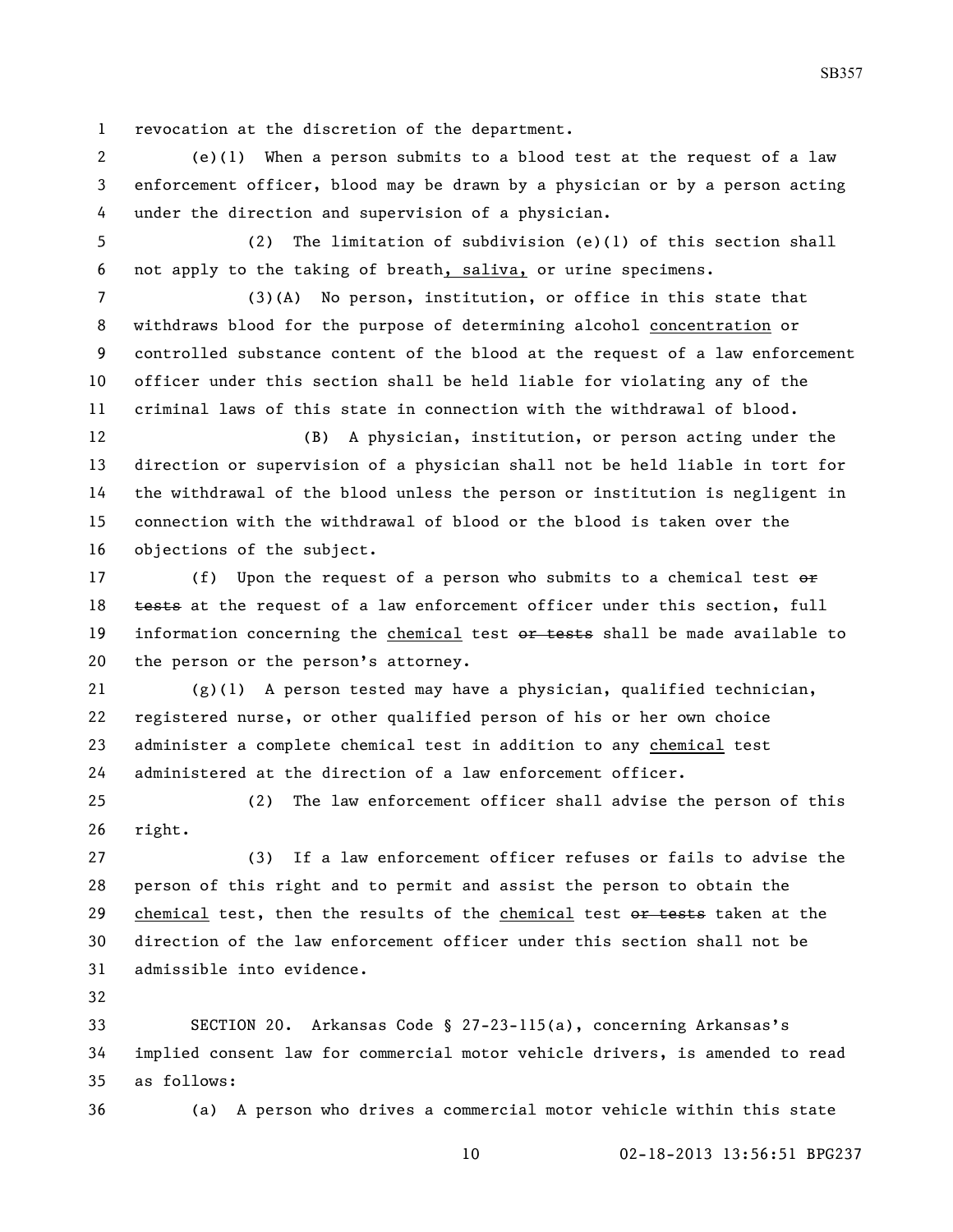revocation at the discretion of the department.

 (e)(1) When a person submits to a blood test at the request of a law enforcement officer, blood may be drawn by a physician or by a person acting under the direction and supervision of a physician.

 (2) The limitation of subdivision (e)(1) of this section shall not apply to the taking of breath, saliva, or urine specimens.

 (3)(A) No person, institution, or office in this state that withdraws blood for the purpose of determining alcohol concentration or controlled substance content of the blood at the request of a law enforcement officer under this section shall be held liable for violating any of the criminal laws of this state in connection with the withdrawal of blood.

 (B) A physician, institution, or person acting under the direction or supervision of a physician shall not be held liable in tort for the withdrawal of the blood unless the person or institution is negligent in connection with the withdrawal of blood or the blood is taken over the objections of the subject.

17 (f) Upon the request of a person who submits to a chemical test  $\theta$ r 18 tests at the request of a law enforcement officer under this section, full 19 information concerning the chemical test or tests shall be made available to the person or the person's attorney.

 (g)(1) A person tested may have a physician, qualified technician, registered nurse, or other qualified person of his or her own choice administer a complete chemical test in addition to any chemical test administered at the direction of a law enforcement officer.

 (2) The law enforcement officer shall advise the person of this right.

 (3) If a law enforcement officer refuses or fails to advise the person of this right and to permit and assist the person to obtain the 29 chemical test, then the results of the chemical test or tests taken at the direction of the law enforcement officer under this section shall not be admissible into evidence.

 SECTION 20. Arkansas Code § 27-23-115(a), concerning Arkansas's implied consent law for commercial motor vehicle drivers, is amended to read as follows:

(a) A person who drives a commercial motor vehicle within this state

02-18-2013 13:56:51 BPG237